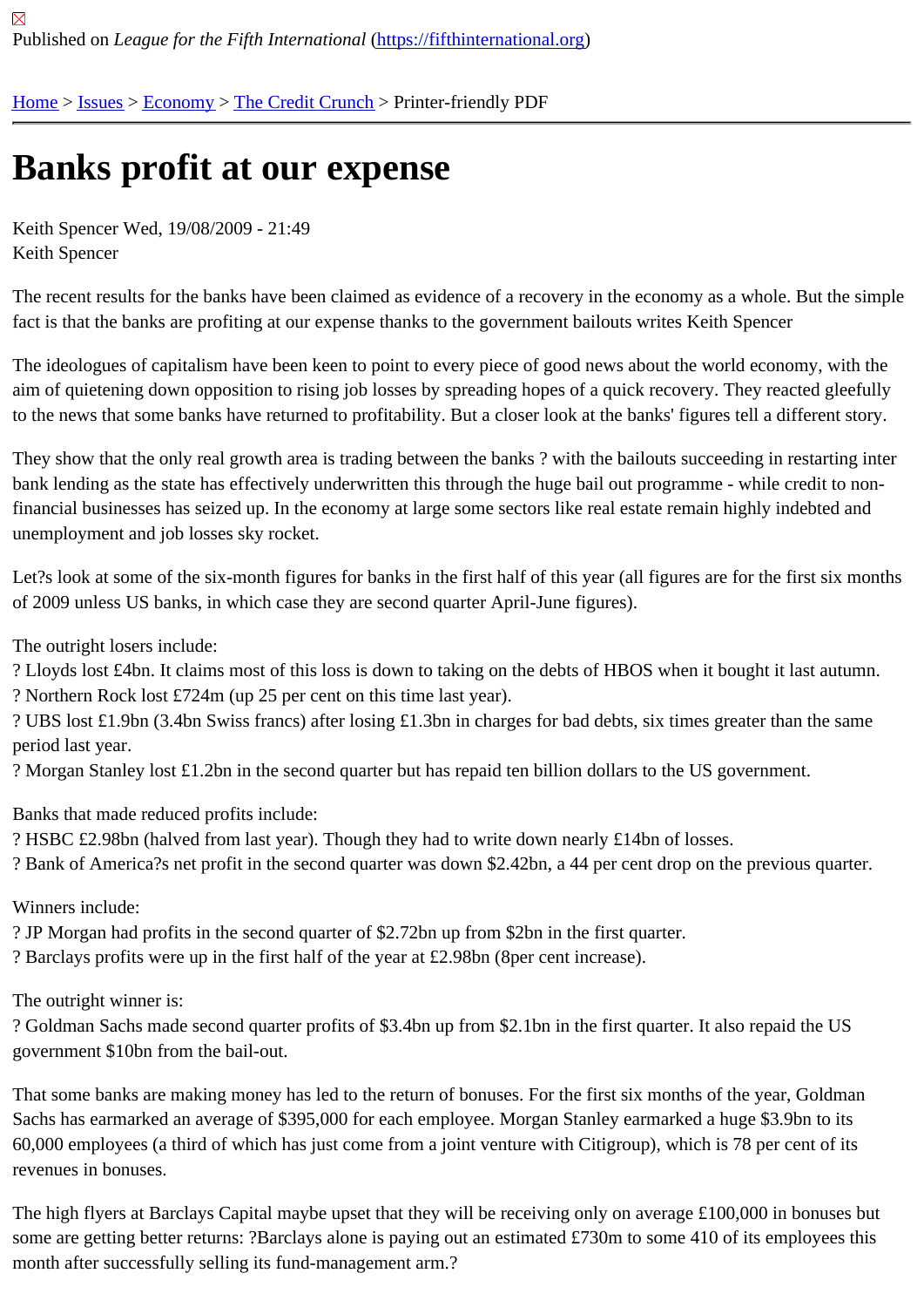# [Ba](https://fifthinternational.org/)[nks](https://fifthinternational.org/category/7) [profit](https://fifthinternational.org/category/7/381) [at our exp](https://fifthinternational.org/category/7/381/456)ense

Keith Spencer Wed, 19/08/2009 - 21:49 Keith Spencer

The recent results for the banks have been claimed as evidence of a recovery in the economy as a whole. But the fact is that the banks are profiting at our expense thanks to the government bailouts writes Keith Spencer

The ideologues of capitalism have been keen to point to every piece of good news about the world economy, with aim of quietening down opposition to rising job losses by spreading hopes of a quick recovery. They reacted gleeft to the news that some banks have returned to profitability. But a closer look at the banks' figures tell a different sto

They show that the only real growth area is trading between the banks? with the bailouts succeeding in restarting bank lending as the state has effectively underwritten this through the huge bail out programme - while credit to no financial businesses has seized up. In the economy at large some sectors like real estate remain highly indebted a unemployment and job losses sky rocket.

Let?s look at some of the six-month figures for banks in the first half of this year (all figures are for the first six mor of 2009 unless US banks, in which case they are second quarter April-June figures).

The outright losers include:

? Lloyds lost £4bn. It claims most of this loss is down to taking on the debts of HBOS when it bought it last autumr ? Northern Rock lost £724m (up 25 per cent on this time last year).

? UBS lost £1.9bn (3.4bn Swiss francs) after losing £1.3bn in charges for bad debts, six times greater than the sar period last year.

? Morgan Stanley lost £1.2bn in the second quarter but has repaid ten billion dollars to the US government.

Banks that made reduced profits include:

? HSBC £2.98bn (halved from last year). Though they had to write down nearly £14bn of losses.

? Bank of America?s net profit in the second quarter was down \$2.42bn, a 44 per cent drop on the previous quarte

Winners include:

? JP Morgan had profits in the second quarter of \$2.72bn up from \$2bn in the first quarter.

? Barclays profits were up in the first half of the year at £2.98bn (8per cent increase).

The outright winner is:

? Goldman Sachs made second quarter profits of \$3.4bn up from \$2.1bn in the first quarter. It also repaid the US government \$10bn from the bail-out.

That some banks are making money has led to the return of bonuses. For the first six months of the year, Goldma Sachs has earmarked an average of \$395,000 for each employee. Morgan Stanley earmarked a huge \$3.9bn to it 60,000 employees (a third of which has just come from a joint venture with Citigroup), which is 78 per cent of its revenues in bonuses.

The high flyers at Barclays Capital maybe upset that they will be receiving only on average £100,000 in bonuses b some are getting better returns: ?Barclays alone is paying out an estimated £730m to some 410 of its employees t month after successfully selling its fund-management arm.?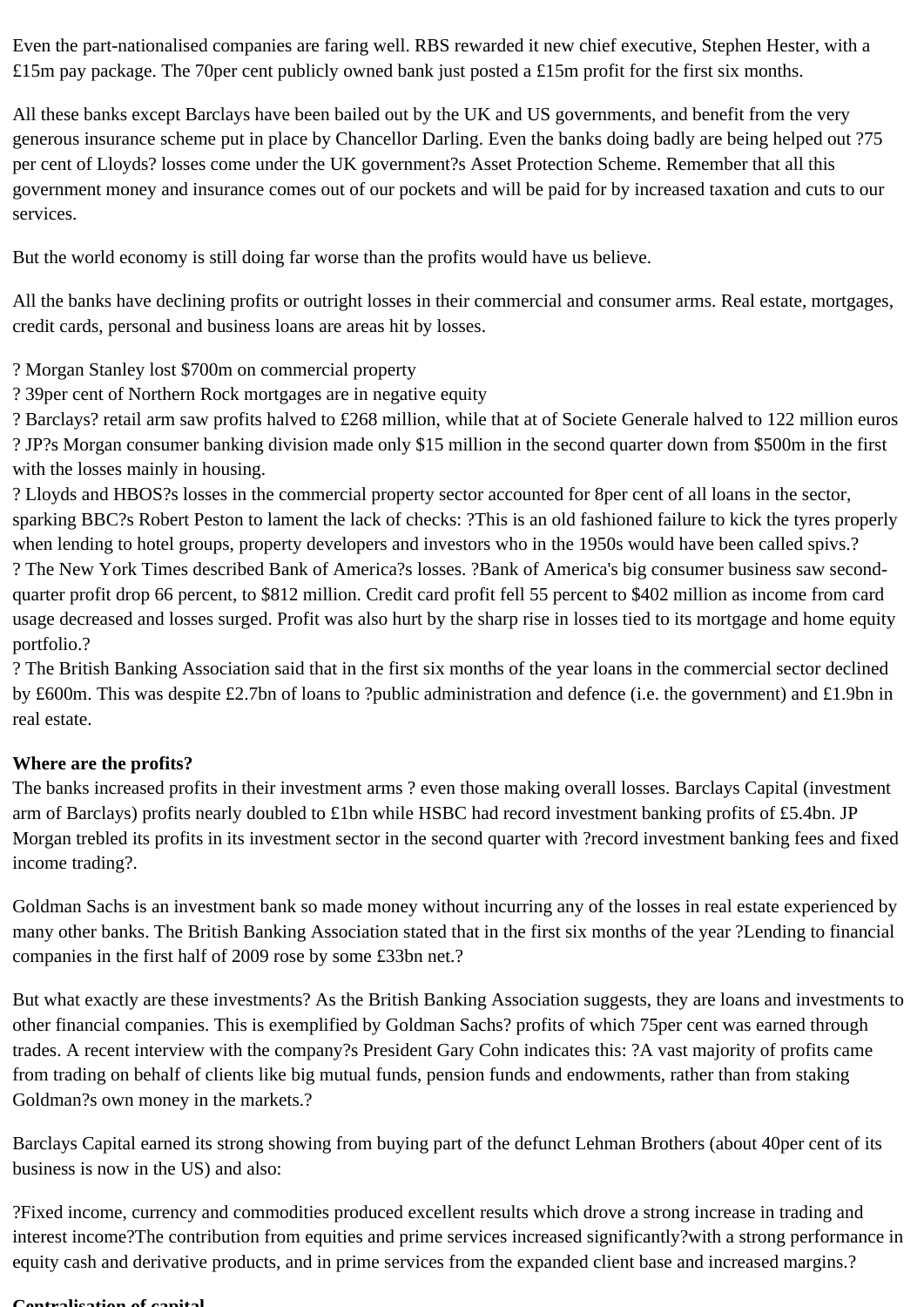Even the part-nationalised companies are faring well. RBS rewarded it new chief executive, Stephen Hester, with a £15m pay package. The 70per cent publicly owned bank just posted a £15m profit for the first six months.

All these banks except Barclays have been bailed out by the UK and US governments, and benefit from the very generous insurance scheme put in place by Chancellor Darling. Even the banks doing badly are being helped out ?75 per cent of Lloyds? losses come under the UK government?s Asset Protection Scheme. Remember that all this government money and insurance comes out of our pockets and will be paid for by increased taxation and cuts to our services.

But the world economy is still doing far worse than the profits would have us believe.

All the banks have declining profits or outright losses in their commercial and consumer arms. Real estate, mortgages, credit cards, personal and business loans are areas hit by losses.

- ? Morgan Stanley lost \$700m on commercial property
- ? 39per cent of Northern Rock mortgages are in negative equity

? Barclays? retail arm saw profits halved to £268 million, while that at of Societe Generale halved to 122 million euros ? JP?s Morgan consumer banking division made only \$15 million in the second quarter down from \$500m in the first with the losses mainly in housing.

? Lloyds and HBOS?s losses in the commercial property sector accounted for 8per cent of all loans in the sector, sparking BBC?s Robert Peston to lament the lack of checks: ?This is an old fashioned failure to kick the tyres properly when lending to hotel groups, property developers and investors who in the 1950s would have been called spivs.? ? The New York Times described Bank of America?s losses. ?Bank of America's big consumer business saw secondquarter profit drop 66 percent, to \$812 million. Credit card profit fell 55 percent to \$402 million as income from card usage decreased and losses surged. Profit was also hurt by the sharp rise in losses tied to its mortgage and home equity portfolio.?

? The British Banking Association said that in the first six months of the year loans in the commercial sector declined by £600m. This was despite £2.7bn of loans to ?public administration and defence (i.e. the government) and £1.9bn in real estate.

## **Where are the profits?**

The banks increased profits in their investment arms ? even those making overall losses. Barclays Capital (investment arm of Barclays) profits nearly doubled to £1bn while HSBC had record investment banking profits of £5.4bn. JP Morgan trebled its profits in its investment sector in the second quarter with ?record investment banking fees and fixed income trading?.

Goldman Sachs is an investment bank so made money without incurring any of the losses in real estate experienced by many other banks. The British Banking Association stated that in the first six months of the year ?Lending to financial companies in the first half of 2009 rose by some £33bn net.?

But what exactly are these investments? As the British Banking Association suggests, they are loans and investments to other financial companies. This is exemplified by Goldman Sachs? profits of which 75per cent was earned through trades. A recent interview with the company?s President Gary Cohn indicates this: ?A vast majority of profits came from trading on behalf of clients like big mutual funds, pension funds and endowments, rather than from staking Goldman?s own money in the markets.?

Barclays Capital earned its strong showing from buying part of the defunct Lehman Brothers (about 40per cent of its business is now in the US) and also:

?Fixed income, currency and commodities produced excellent results which drove a strong increase in trading and interest income?The contribution from equities and prime services increased significantly?with a strong performance in equity cash and derivative products, and in prime services from the expanded client base and increased margins.?

#### **Centralisation of capital**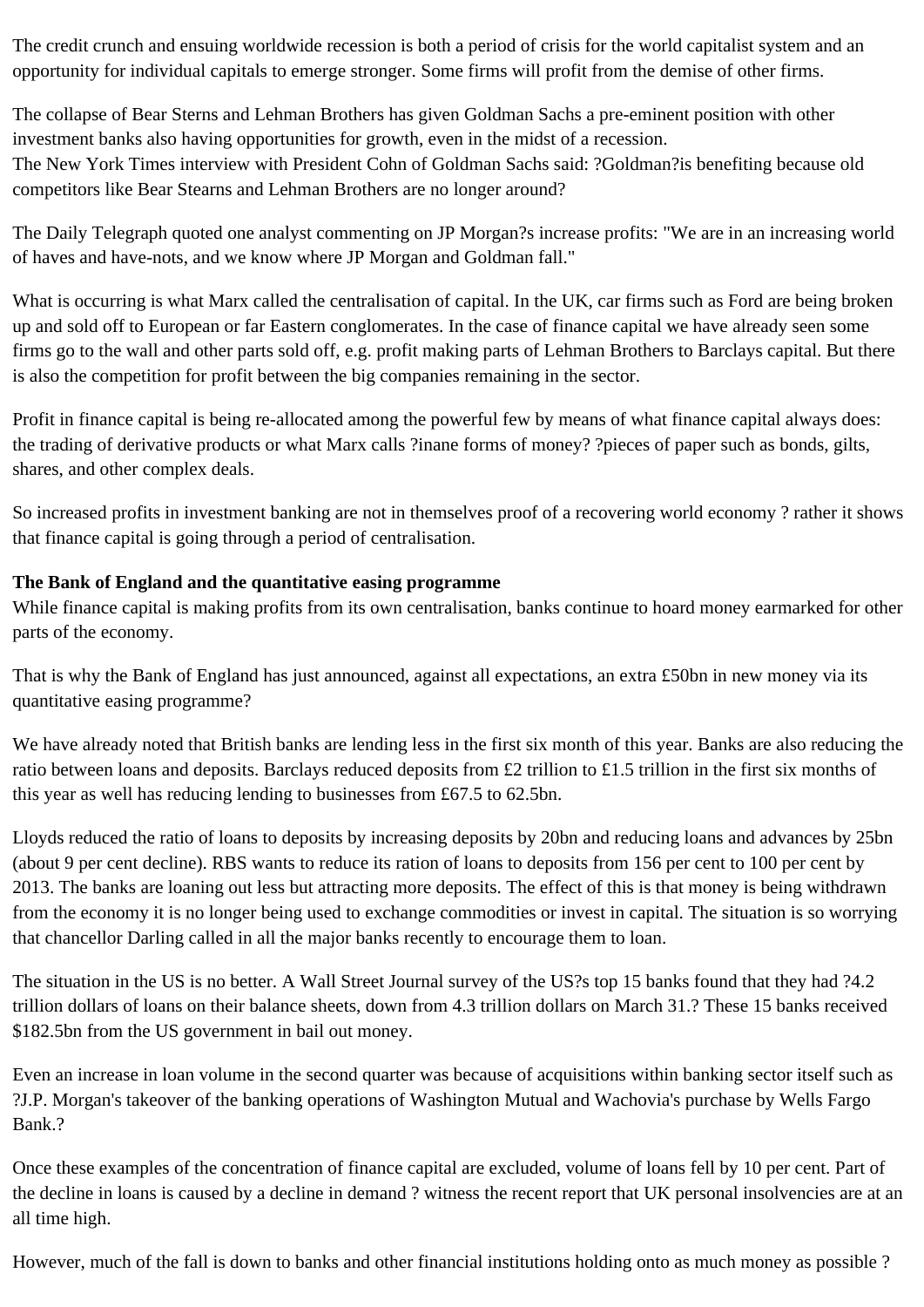The credit crunch and ensuing worldwide recession is both a period of crisis for the world capitalist system and an opportunity for individual capitals to emerge stronger. Some firms will profit from the demise of other firms.

The collapse of Bear Sterns and Lehman Brothers has given Goldman Sachs a pre-eminent position with other investment banks also having opportunities for growth, even in the midst of a recession. The New York Times interview with President Cohn of Goldman Sachs said: ?Goldman?is benefiting because old competitors like Bear Stearns and Lehman Brothers are no longer around?

The Daily Telegraph quoted one analyst commenting on JP Morgan?s increase profits: "We are in an increasing world of haves and have-nots, and we know where JP Morgan and Goldman fall."

What is occurring is what Marx called the centralisation of capital. In the UK, car firms such as Ford are being broken up and sold off to European or far Eastern conglomerates. In the case of finance capital we have already seen some firms go to the wall and other parts sold off, e.g. profit making parts of Lehman Brothers to Barclays capital. But there is also the competition for profit between the big companies remaining in the sector.

Profit in finance capital is being re-allocated among the powerful few by means of what finance capital always does: the trading of derivative products or what Marx calls ?inane forms of money? ?pieces of paper such as bonds, gilts, shares, and other complex deals.

So increased profits in investment banking are not in themselves proof of a recovering world economy ? rather it shows that finance capital is going through a period of centralisation.

## **The Bank of England and the quantitative easing programme**

While finance capital is making profits from its own centralisation, banks continue to hoard money earmarked for other parts of the economy.

That is why the Bank of England has just announced, against all expectations, an extra £50bn in new money via its quantitative easing programme?

We have already noted that British banks are lending less in the first six month of this year. Banks are also reducing the ratio between loans and deposits. Barclays reduced deposits from £2 trillion to £1.5 trillion in the first six months of this year as well has reducing lending to businesses from £67.5 to 62.5bn.

Lloyds reduced the ratio of loans to deposits by increasing deposits by 20bn and reducing loans and advances by 25bn (about 9 per cent decline). RBS wants to reduce its ration of loans to deposits from 156 per cent to 100 per cent by 2013. The banks are loaning out less but attracting more deposits. The effect of this is that money is being withdrawn from the economy it is no longer being used to exchange commodities or invest in capital. The situation is so worrying that chancellor Darling called in all the major banks recently to encourage them to loan.

The situation in the US is no better. A Wall Street Journal survey of the US?s top 15 banks found that they had ?4.2 trillion dollars of loans on their balance sheets, down from 4.3 trillion dollars on March 31.? These 15 banks received \$182.5bn from the US government in bail out money.

Even an increase in loan volume in the second quarter was because of acquisitions within banking sector itself such as ?J.P. Morgan's takeover of the banking operations of Washington Mutual and Wachovia's purchase by Wells Fargo Bank.?

Once these examples of the concentration of finance capital are excluded, volume of loans fell by 10 per cent. Part of the decline in loans is caused by a decline in demand ? witness the recent report that UK personal insolvencies are at an all time high.

However, much of the fall is down to banks and other financial institutions holding onto as much money as possible ?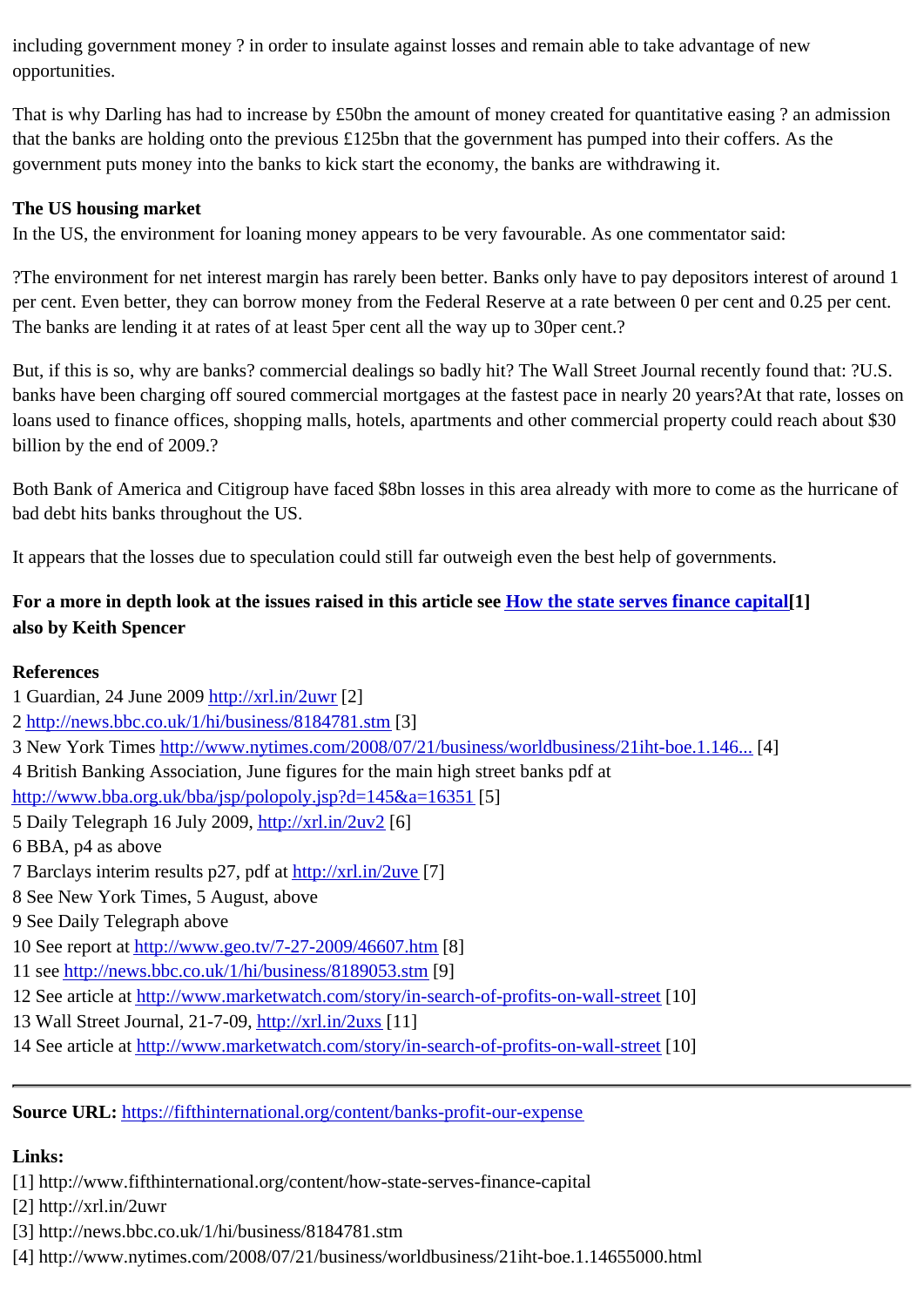That is why Darling has had to increase by £50bn the amount of money created for quantitative easing ? an admis that the banks are holding onto the previous £125bn that the government has pumped into their coffers. As the government puts money into the banks to kick start the economy, the banks are withdrawing it.

### The US housing market

In the US, the environment for loaning money appears to be very favourable. As one commentator said:

?The environment for net interest margin has rarely been better. Banks only have to pay depositors interest of aro per cent. Even better, they can borrow money from the Federal Reserve at a rate between 0 per cent and 0.25 per The banks are lending it at rates of at least 5per cent all the way up to 30per cent.?

But, if this is so, why are banks? commercial dealings so badly hit? The Wall Street Journal recently found that: ?L banks have been charging off soured commercial mortgages at the fastest pace in nearly 20 years?At that rate, lo loans used to finance offices, shopping malls, hotels, apartments and other commercial property could reach abou billion by the end of 2009.?

Both Bank of America and Citigroup have faced \$8bn losses in this area already with more to come as the hurrica bad debt hits banks throughout the US.

It appears that the losses due to speculation could still far outweigh even the best help of governments.

For a more in depth look at the issues raised in this article setow the state serves finance capital also by Keith Spencer

- References 1 Guardian, 24 June 2008tp://xrl.in/2uwr[2] 2 http://news.bbc.co.uk/1/hi/business/8184781.stm 3 New York Timeshttp://www.nytimes.com/2008/07/21/business/worldbusiness/21iht-boe.1.<sup>[4446...</sup>] 4 British Banking Assoc[iation, June figu](http://xrl.in/2uwr)res for the main high street banks pdf at h[ttp://www.bba.org.uk/bba/jsp/polopoly.jsp?d=](http://news.bbc.co.uk/1/hi/business/8184781.stm)145&a=16 $[5]$ 5 Daily Telegraph 16 July 2000ttp://xrl.in/2uv2[6] 6 BBA, p4 as above 7 Barclays interim results p27, pdfratp://xrl.in/2uve[7] 8 See New York Times, 5 Au[gust, above](http://xrl.in/2uv2) 9 See Daily Telegraph above 10 See report atttp://www.geo.tv/7[-27-2009/46607](http://xrl.in/2uve).html 11 seehttp://news.bbc.co.uk/1/hi/business/8189053.stm 12 See article atttp://www.marketwatch.com/story/in-search-of-profits-on-wall-street 13 Wall Street Journal, 21-7-09tp://xrl.in/2uxs[11]
- 14 See article atttp://www.marketwatch.com/story/in-search-of-profits-on-wall-street

Source URL: h[ttps://fifthinternational.org/content/banks-profit-our-expense](http://www.marketwatch.com/story/in-search-of-profits-on-wall-street)

Links:

[1] http://ww[w.fifthinternational.org/content/how-state-serves-finance-c](https://fifthinternational.org/content/banks-profit-our-expense)apital

[2] http://xrl.in/2uwr

[3] http://news.bbc.co.uk/1/hi/business/8184781.stm

[4] http://www.nytimes.com/2008/07/21/business/worldbusiness/21iht-boe.1.14655000.html

opportunities.